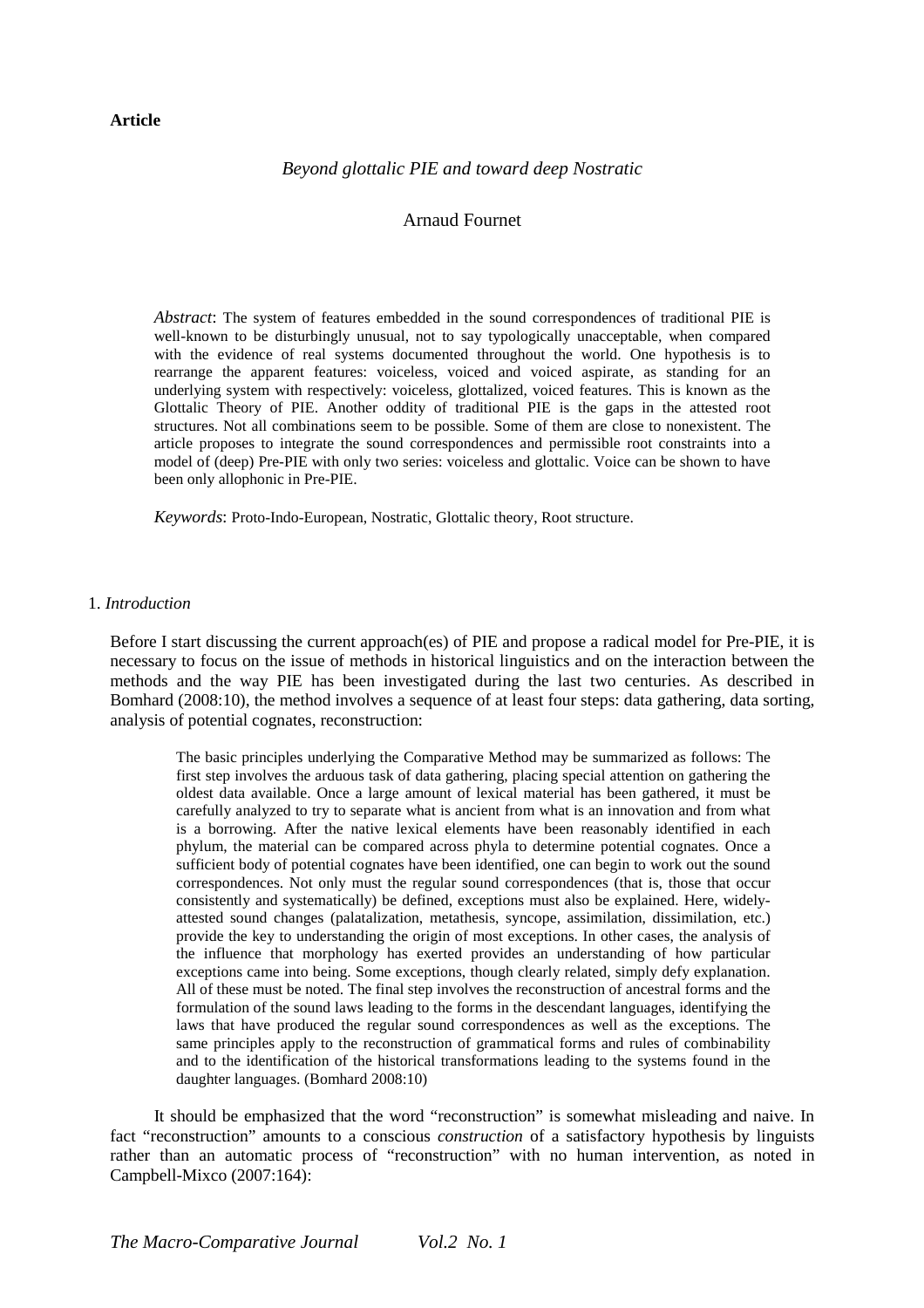## **Article**

# *Beyond glottalic PIE and toward deep Nostratic*

# Arnaud Fournet

*Abstract*: The system of features embedded in the sound correspondences of traditional PIE is well-known to be disturbingly unusual, not to say typologically unacceptable, when compared with the evidence of real systems documented throughout the world. One hypothesis is to rearrange the apparent features: voiceless, voiced and voiced aspirate, as standing for an underlying system with respectively: voiceless, glottalized, voiced features. This is known as the Glottalic Theory of PIE. Another oddity of traditional PIE is the gaps in the attested root structures. Not all combinations seem to be possible. Some of them are close to nonexistent. The article proposes to integrate the sound correspondences and permissible root constraints into a model of (deep) Pre-PIE with only two series: voiceless and glottalic. Voice can be shown to have been only allophonic in Pre-PIE.

*Keywords*: Proto-Indo-European, Nostratic, Glottalic theory, Root structure.

# 1. *Introduction*

Before I start discussing the current approach(es) of PIE and propose a radical model for Pre-PIE, it is necessary to focus on the issue of methods in historical linguistics and on the interaction between the methods and the way PIE has been investigated during the last two centuries. As described in Bomhard (2008:10), the method involves a sequence of at least four steps: data gathering, data sorting, analysis of potential cognates, reconstruction:

The basic principles underlying the Comparative Method may be summarized as follows: The first step involves the arduous task of data gathering, placing special attention on gathering the oldest data available. Once a large amount of lexical material has been gathered, it must be carefully analyzed to try to separate what is ancient from what is an innovation and from what is a borrowing. After the native lexical elements have been reasonably identified in each phylum, the material can be compared across phyla to determine potential cognates. Once a sufficient body of potential cognates have been identified, one can begin to work out the sound correspondences. Not only must the regular sound correspondences (that is, those that occur consistently and systematically) be defined, exceptions must also be explained. Here, widelyattested sound changes (palatalization, metathesis, syncope, assimilation, dissimilation, etc.) provide the key to understanding the origin of most exceptions. In other cases, the analysis of the influence that morphology has exerted provides an understanding of how particular exceptions came into being. Some exceptions, though clearly related, simply defy explanation. All of these must be noted. The final step involves the reconstruction of ancestral forms and the formulation of the sound laws leading to the forms in the descendant languages, identifying the laws that have produced the regular sound correspondences as well as the exceptions. The same principles apply to the reconstruction of grammatical forms and rules of combinability and to the identification of the historical transformations leading to the systems found in the daughter languages. (Bomhard 2008:10)

It should be emphasized that the word "reconstruction" is somewhat misleading and naive. In fact "reconstruction" amounts to a conscious *construction* of a satisfactory hypothesis by linguists rather than an automatic process of "reconstruction" with no human intervention, as noted in Campbell-Mixco (2007:164):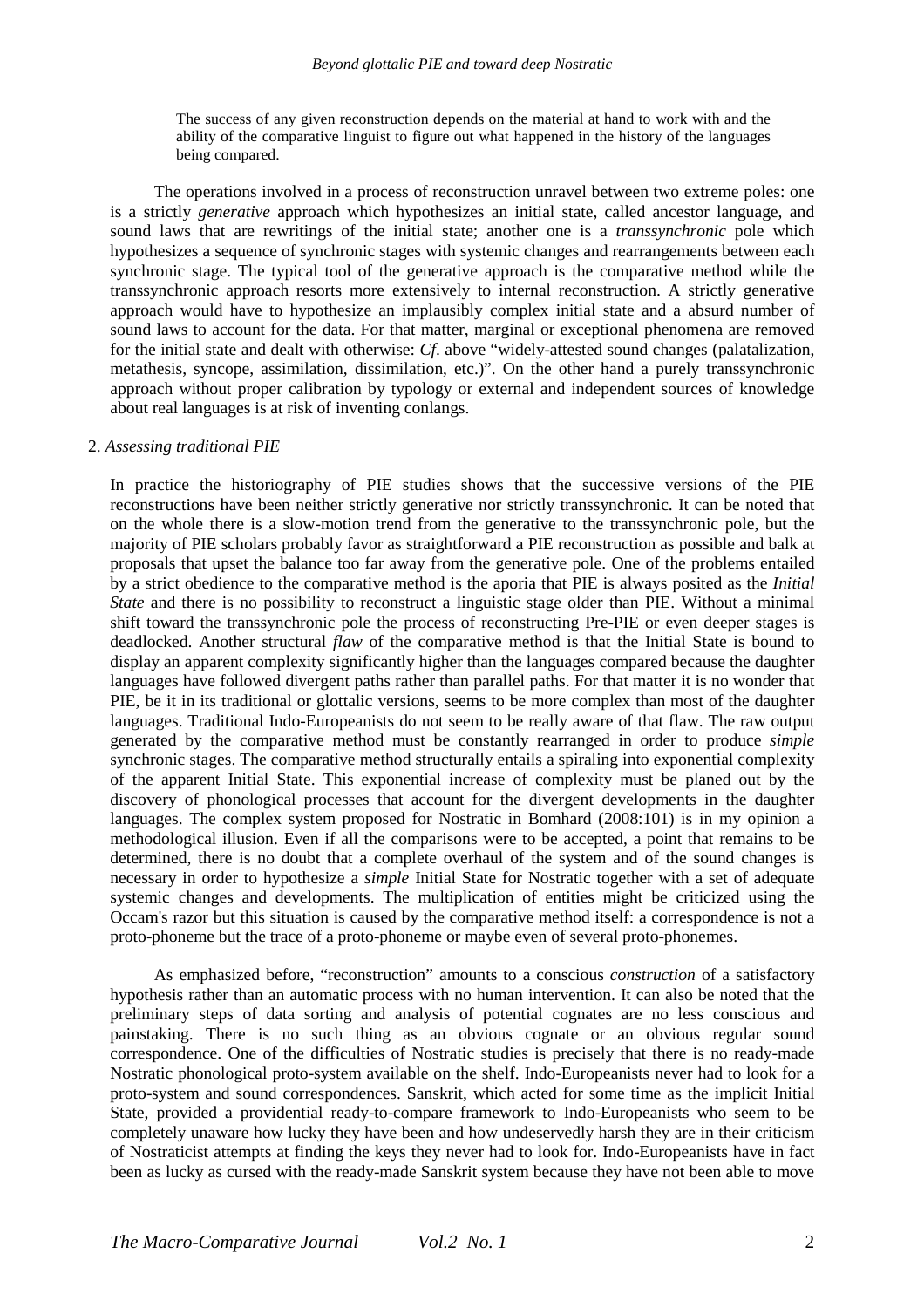The success of any given reconstruction depends on the material at hand to work with and the ability of the comparative linguist to figure out what happened in the history of the languages being compared.

The operations involved in a process of reconstruction unravel between two extreme poles: one is a strictly *generative* approach which hypothesizes an initial state, called ancestor language, and sound laws that are rewritings of the initial state; another one is a *transsynchronic* pole which hypothesizes a sequence of synchronic stages with systemic changes and rearrangements between each synchronic stage. The typical tool of the generative approach is the comparative method while the transsynchronic approach resorts more extensively to internal reconstruction. A strictly generative approach would have to hypothesize an implausibly complex initial state and a absurd number of sound laws to account for the data. For that matter, marginal or exceptional phenomena are removed for the initial state and dealt with otherwise: *Cf*. above "widely-attested sound changes (palatalization, metathesis, syncope, assimilation, dissimilation, etc.)". On the other hand a purely transsynchronic approach without proper calibration by typology or external and independent sources of knowledge about real languages is at risk of inventing conlangs.

#### 2. *Assessing traditional PIE*

In practice the historiography of PIE studies shows that the successive versions of the PIE reconstructions have been neither strictly generative nor strictly transsynchronic. It can be noted that on the whole there is a slow-motion trend from the generative to the transsynchronic pole, but the majority of PIE scholars probably favor as straightforward a PIE reconstruction as possible and balk at proposals that upset the balance too far away from the generative pole. One of the problems entailed by a strict obedience to the comparative method is the aporia that PIE is always posited as the *Initial State* and there is no possibility to reconstruct a linguistic stage older than PIE. Without a minimal shift toward the transsynchronic pole the process of reconstructing Pre-PIE or even deeper stages is deadlocked. Another structural *flaw* of the comparative method is that the Initial State is bound to display an apparent complexity significantly higher than the languages compared because the daughter languages have followed divergent paths rather than parallel paths. For that matter it is no wonder that PIE, be it in its traditional or glottalic versions, seems to be more complex than most of the daughter languages. Traditional Indo-Europeanists do not seem to be really aware of that flaw. The raw output generated by the comparative method must be constantly rearranged in order to produce *simple* synchronic stages. The comparative method structurally entails a spiraling into exponential complexity of the apparent Initial State. This exponential increase of complexity must be planed out by the discovery of phonological processes that account for the divergent developments in the daughter languages. The complex system proposed for Nostratic in Bomhard (2008:101) is in my opinion a methodological illusion. Even if all the comparisons were to be accepted, a point that remains to be determined, there is no doubt that a complete overhaul of the system and of the sound changes is necessary in order to hypothesize a *simple* Initial State for Nostratic together with a set of adequate systemic changes and developments. The multiplication of entities might be criticized using the Occam's razor but this situation is caused by the comparative method itself: a correspondence is not a proto-phoneme but the trace of a proto-phoneme or maybe even of several proto-phonemes.

As emphasized before, "reconstruction" amounts to a conscious *construction* of a satisfactory hypothesis rather than an automatic process with no human intervention. It can also be noted that the preliminary steps of data sorting and analysis of potential cognates are no less conscious and painstaking. There is no such thing as an obvious cognate or an obvious regular sound correspondence. One of the difficulties of Nostratic studies is precisely that there is no ready-made Nostratic phonological proto-system available on the shelf. Indo-Europeanists never had to look for a proto-system and sound correspondences. Sanskrit, which acted for some time as the implicit Initial State, provided a providential ready-to-compare framework to Indo-Europeanists who seem to be completely unaware how lucky they have been and how undeservedly harsh they are in their criticism of Nostraticist attempts at finding the keys they never had to look for. Indo-Europeanists have in fact been as lucky as cursed with the ready-made Sanskrit system because they have not been able to move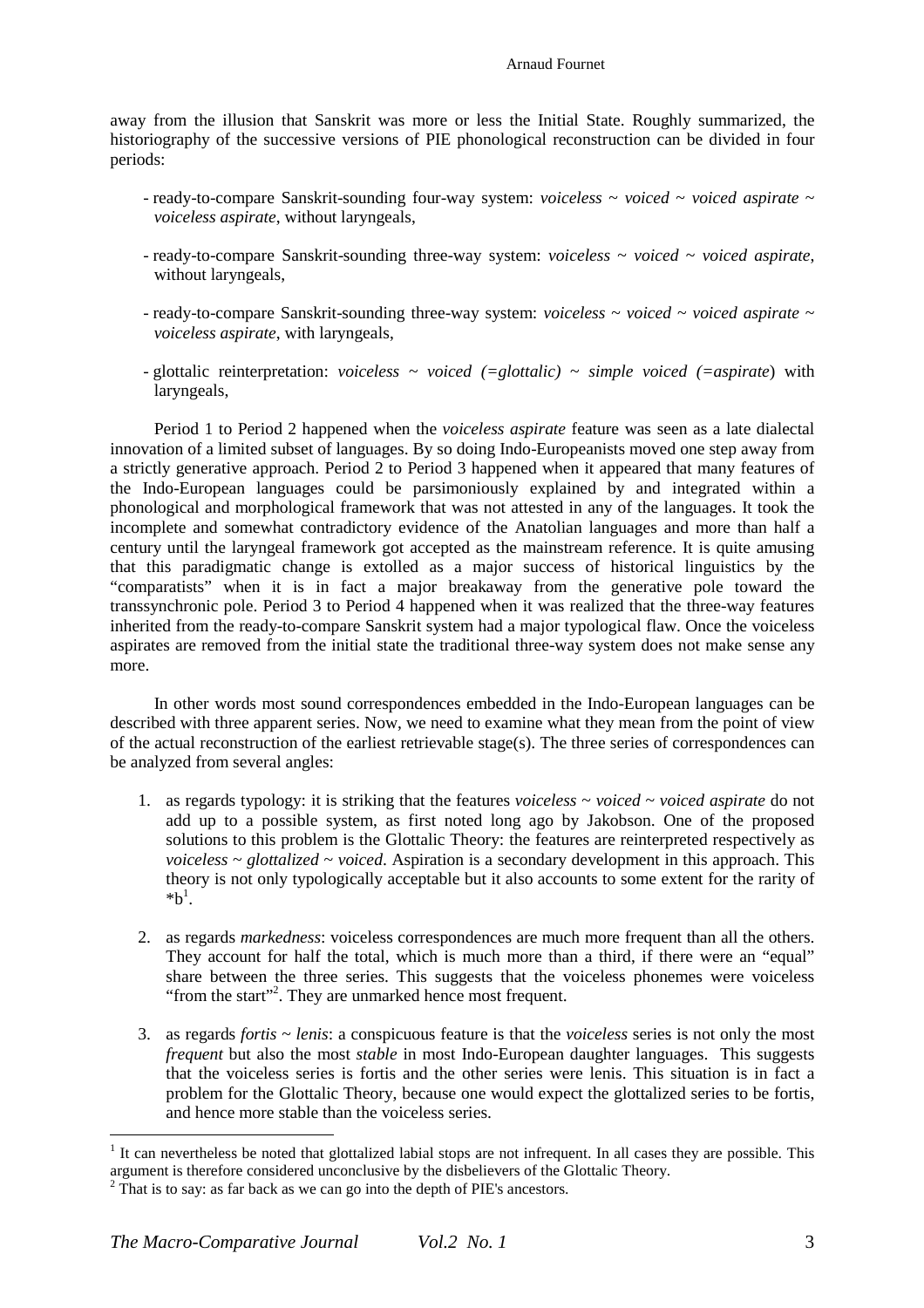### Arnaud Fournet

away from the illusion that Sanskrit was more or less the Initial State. Roughly summarized, the historiography of the successive versions of PIE phonological reconstruction can be divided in four periods:

- $\sim$  ready-to-compare Sanskrit-sounding four-way system: *voiceless*  $\sim$  *voiced*  $\sim$  *voiced aspirate*  $\sim$ *voiceless aspirate*, without laryngeals,
- ready-to-compare Sanskrit-sounding three-way system: *voiceless* ~ *voiced* ~ *voiced aspirate*, without laryngeals,
- $\sim$  ready-to-compare Sanskrit-sounding three-way system: *voiceless*  $\sim$  *voiced*  $\sim$  *voiced aspirate*  $\sim$ *voiceless aspirate*, with laryngeals,
- glottalic reinterpretation: *voiceless* ~ *voiced (=glottalic)* ~ *simple voiced (=aspirate*) with laryngeals,

Period 1 to Period 2 happened when the *voiceless aspirate* feature was seen as a late dialectal innovation of a limited subset of languages. By so doing Indo-Europeanists moved one step away from a strictly generative approach. Period 2 to Period 3 happened when it appeared that many features of the Indo-European languages could be parsimoniously explained by and integrated within a phonological and morphological framework that was not attested in any of the languages. It took the incomplete and somewhat contradictory evidence of the Anatolian languages and more than half a century until the laryngeal framework got accepted as the mainstream reference. It is quite amusing that this paradigmatic change is extolled as a major success of historical linguistics by the "comparatists" when it is in fact a major breakaway from the generative pole toward the transsynchronic pole. Period 3 to Period 4 happened when it was realized that the three-way features inherited from the ready-to-compare Sanskrit system had a major typological flaw. Once the voiceless aspirates are removed from the initial state the traditional three-way system does not make sense any more.

In other words most sound correspondences embedded in the Indo-European languages can be described with three apparent series. Now, we need to examine what they mean from the point of view of the actual reconstruction of the earliest retrievable stage(s). The three series of correspondences can be analyzed from several angles:

- 1. as regards typology: it is striking that the features *voiceless* ~ *voiced* ~ *voiced aspirate* do not add up to a possible system, as first noted long ago by Jakobson. One of the proposed solutions to this problem is the Glottalic Theory: the features are reinterpreted respectively as *voiceless* ~ *glottalized* ~ *voiced*. Aspiration is a secondary development in this approach. This theory is not only typologically acceptable but it also accounts to some extent for the rarity of  $^{*}b^{1}$ .
- 2. as regards *markedness*: voiceless correspondences are much more frequent than all the others. They account for half the total, which is much more than a third, if there were an "equal" share between the three series. This suggests that the voiceless phonemes were voiceless "from the start"<sup>2</sup>. They are unmarked hence most frequent.
- 3. as regards *fortis* ~ *lenis*: a conspicuous feature is that the *voiceless* series is not only the most *frequent* but also the most *stable* in most Indo-European daughter languages. This suggests that the voiceless series is fortis and the other series were lenis. This situation is in fact a problem for the Glottalic Theory, because one would expect the glottalized series to be fortis, and hence more stable than the voiceless series.

 $\overline{a}$ 

 $<sup>1</sup>$  It can nevertheless be noted that glottalized labial stops are not infrequent. In all cases they are possible. This</sup> argument is therefore considered unconclusive by the disbelievers of the Glottalic Theory.

 $2^2$  That is to say: as far back as we can go into the depth of PIE's ancestors.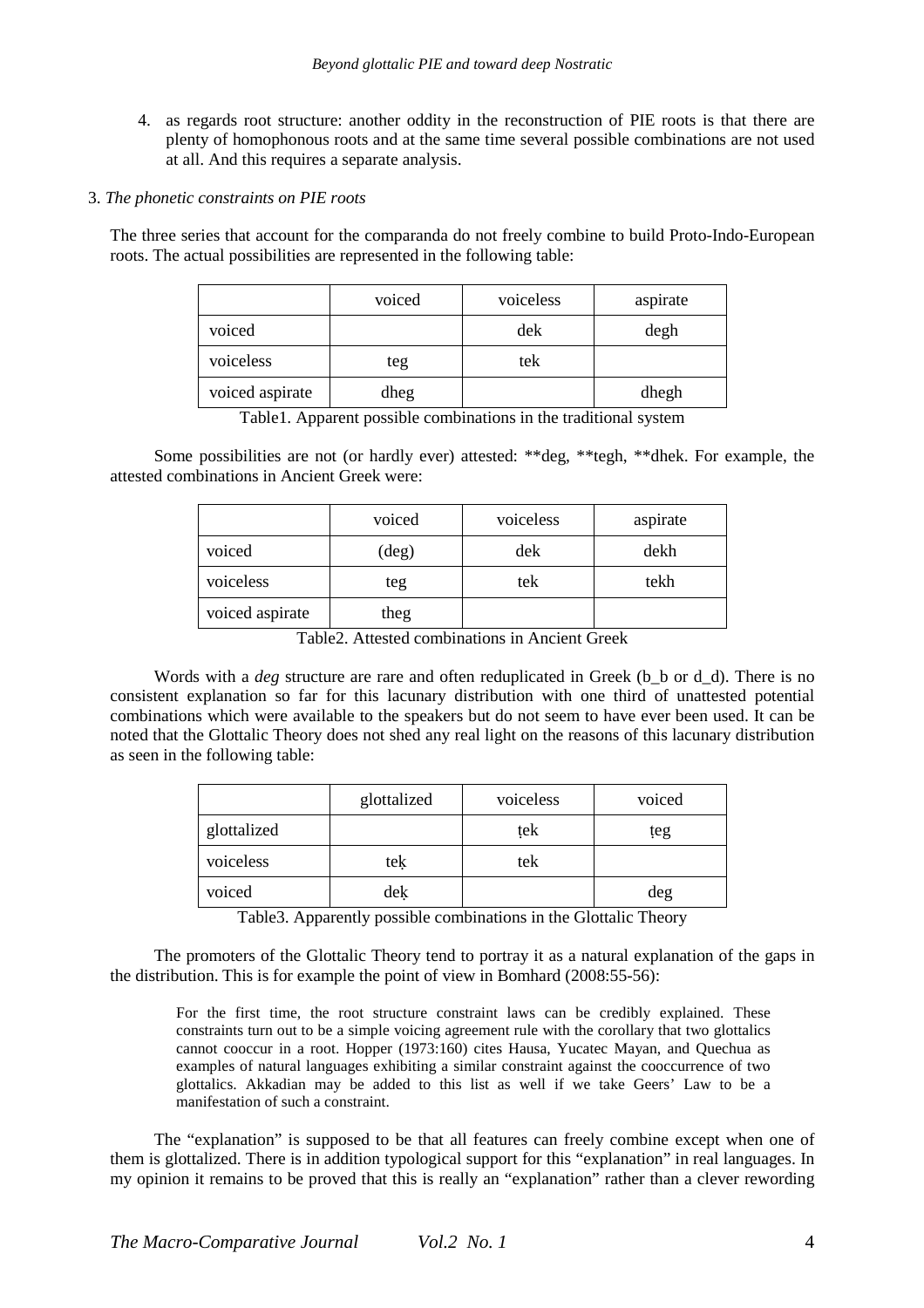4. as regards root structure: another oddity in the reconstruction of PIE roots is that there are plenty of homophonous roots and at the same time several possible combinations are not used at all. And this requires a separate analysis.

## 3. *The phonetic constraints on PIE roots*

The three series that account for the comparanda do not freely combine to build Proto-Indo-European roots. The actual possibilities are represented in the following table:

|                 | voiced | voiceless | aspirate |
|-----------------|--------|-----------|----------|
| voiced          |        | dek       | degh     |
| voiceless       | teg    | tek       |          |
| voiced aspirate | dheg   |           | dhegh    |

Table1. Apparent possible combinations in the traditional system

Some possibilities are not (or hardly ever) attested: \*\*deg, \*\*tegh, \*\*dhek. For example, the attested combinations in Ancient Greek were:

|                 | voiced         | voiceless | aspirate |
|-----------------|----------------|-----------|----------|
| voiced          | $(\text{deg})$ | dek       | dekh     |
| voiceless       | teg            | tek       | tekh     |
| voiced aspirate | theg           |           |          |

Table2. Attested combinations in Ancient Greek

Words with a *deg* structure are rare and often reduplicated in Greek (b<sub>)</sub> b or d<sub>-d</sub>). There is no consistent explanation so far for this lacunary distribution with one third of unattested potential combinations which were available to the speakers but do not seem to have ever been used. It can be noted that the Glottalic Theory does not shed any real light on the reasons of this lacunary distribution as seen in the following table:

|             | glottalized | voiceless | voiced |
|-------------|-------------|-----------|--------|
| glottalized |             | tek       | teg    |
| voiceless   | tek         | tek       |        |
| voiced      | dek         |           | deg    |

Table3. Apparently possible combinations in the Glottalic Theory

The promoters of the Glottalic Theory tend to portray it as a natural explanation of the gaps in the distribution. This is for example the point of view in Bomhard (2008:55-56):

For the first time, the root structure constraint laws can be credibly explained. These constraints turn out to be a simple voicing agreement rule with the corollary that two glottalics cannot cooccur in a root. Hopper (1973:160) cites Hausa, Yucatec Mayan, and Quechua as examples of natural languages exhibiting a similar constraint against the cooccurrence of two glottalics. Akkadian may be added to this list as well if we take Geers' Law to be a manifestation of such a constraint.

The "explanation" is supposed to be that all features can freely combine except when one of them is glottalized. There is in addition typological support for this "explanation" in real languages. In my opinion it remains to be proved that this is really an "explanation" rather than a clever rewording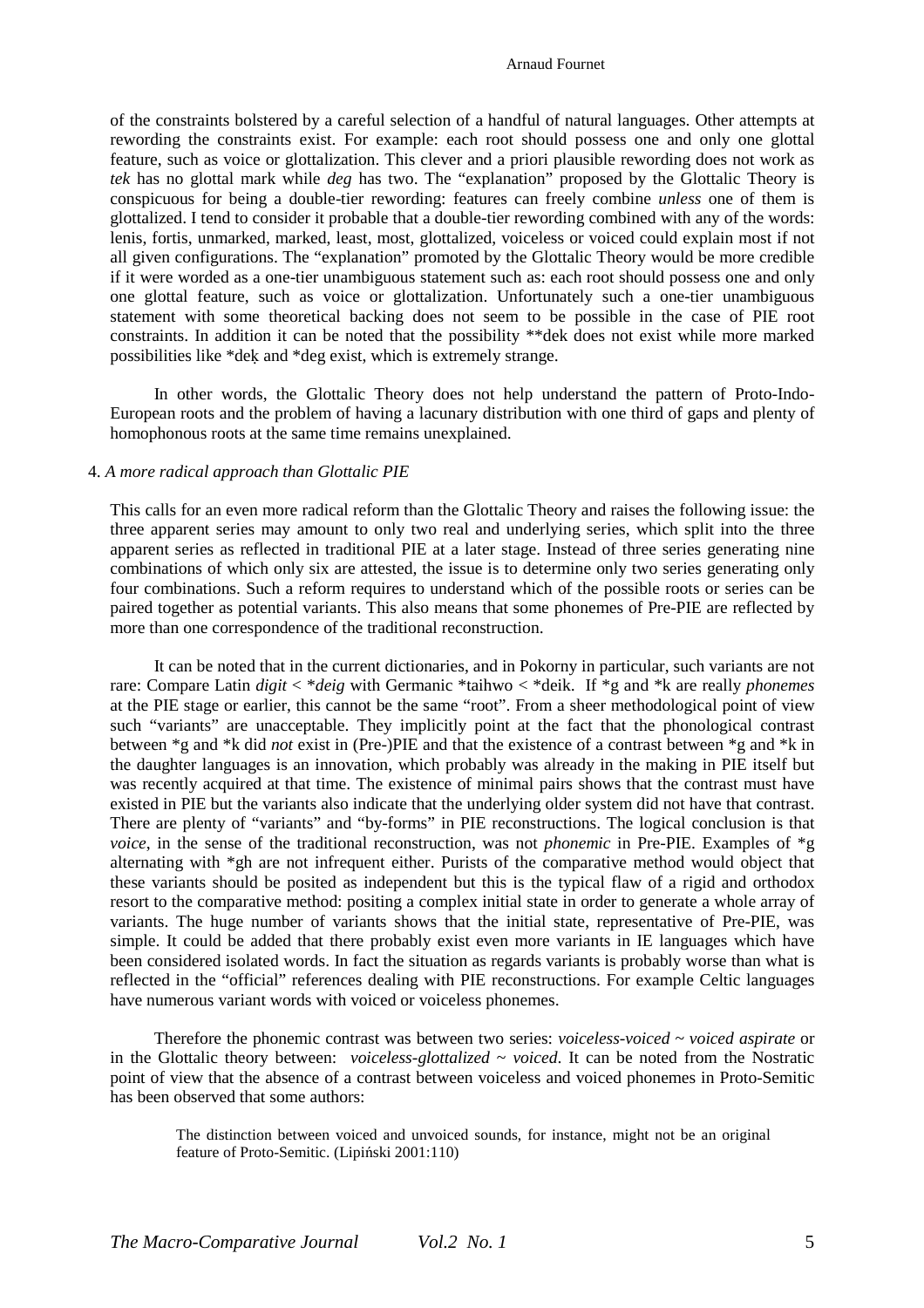#### Arnaud Fournet

of the constraints bolstered by a careful selection of a handful of natural languages. Other attempts at rewording the constraints exist. For example: each root should possess one and only one glottal feature, such as voice or glottalization. This clever and a priori plausible rewording does not work as *tek* has no glottal mark while *deg* has two. The "explanation" proposed by the Glottalic Theory is conspicuous for being a double-tier rewording: features can freely combine *unless* one of them is glottalized. I tend to consider it probable that a double-tier rewording combined with any of the words: lenis, fortis, unmarked, marked, least, most, glottalized, voiceless or voiced could explain most if not all given configurations. The "explanation" promoted by the Glottalic Theory would be more credible if it were worded as a one-tier unambiguous statement such as: each root should possess one and only one glottal feature, such as voice or glottalization. Unfortunately such a one-tier unambiguous statement with some theoretical backing does not seem to be possible in the case of PIE root constraints. In addition it can be noted that the possibility \*\*dek does not exist while more marked possibilities like \*deḳ and \*deg exist, which is extremely strange.

In other words, the Glottalic Theory does not help understand the pattern of Proto-Indo-European roots and the problem of having a lacunary distribution with one third of gaps and plenty of homophonous roots at the same time remains unexplained.

# 4. *A more radical approach than Glottalic PIE*

This calls for an even more radical reform than the Glottalic Theory and raises the following issue: the three apparent series may amount to only two real and underlying series, which split into the three apparent series as reflected in traditional PIE at a later stage. Instead of three series generating nine combinations of which only six are attested, the issue is to determine only two series generating only four combinations. Such a reform requires to understand which of the possible roots or series can be paired together as potential variants. This also means that some phonemes of Pre-PIE are reflected by more than one correspondence of the traditional reconstruction.

It can be noted that in the current dictionaries, and in Pokorny in particular, such variants are not rare: Compare Latin *digit* < \**deig* with Germanic \*taihwo < \*deik. If \*g and \*k are really *phonemes* at the PIE stage or earlier, this cannot be the same "root". From a sheer methodological point of view such "variants" are unacceptable. They implicitly point at the fact that the phonological contrast between \*g and \*k did *not* exist in (Pre-)PIE and that the existence of a contrast between \*g and \*k in the daughter languages is an innovation, which probably was already in the making in PIE itself but was recently acquired at that time. The existence of minimal pairs shows that the contrast must have existed in PIE but the variants also indicate that the underlying older system did not have that contrast. There are plenty of "variants" and "by-forms" in PIE reconstructions. The logical conclusion is that *voice*, in the sense of the traditional reconstruction, was not *phonemic* in Pre-PIE. Examples of \*g alternating with \*gh are not infrequent either. Purists of the comparative method would object that these variants should be posited as independent but this is the typical flaw of a rigid and orthodox resort to the comparative method: positing a complex initial state in order to generate a whole array of variants. The huge number of variants shows that the initial state, representative of Pre-PIE, was simple. It could be added that there probably exist even more variants in IE languages which have been considered isolated words. In fact the situation as regards variants is probably worse than what is reflected in the "official" references dealing with PIE reconstructions. For example Celtic languages have numerous variant words with voiced or voiceless phonemes.

Therefore the phonemic contrast was between two series: *voiceless-voiced* ~ *voiced aspirate* or in the Glottalic theory between: *voiceless-glottalized* ~ *voiced*. It can be noted from the Nostratic point of view that the absence of a contrast between voiceless and voiced phonemes in Proto-Semitic has been observed that some authors:

The distinction between voiced and unvoiced sounds, for instance, might not be an original feature of Proto-Semitic. (Lipiński 2001:110)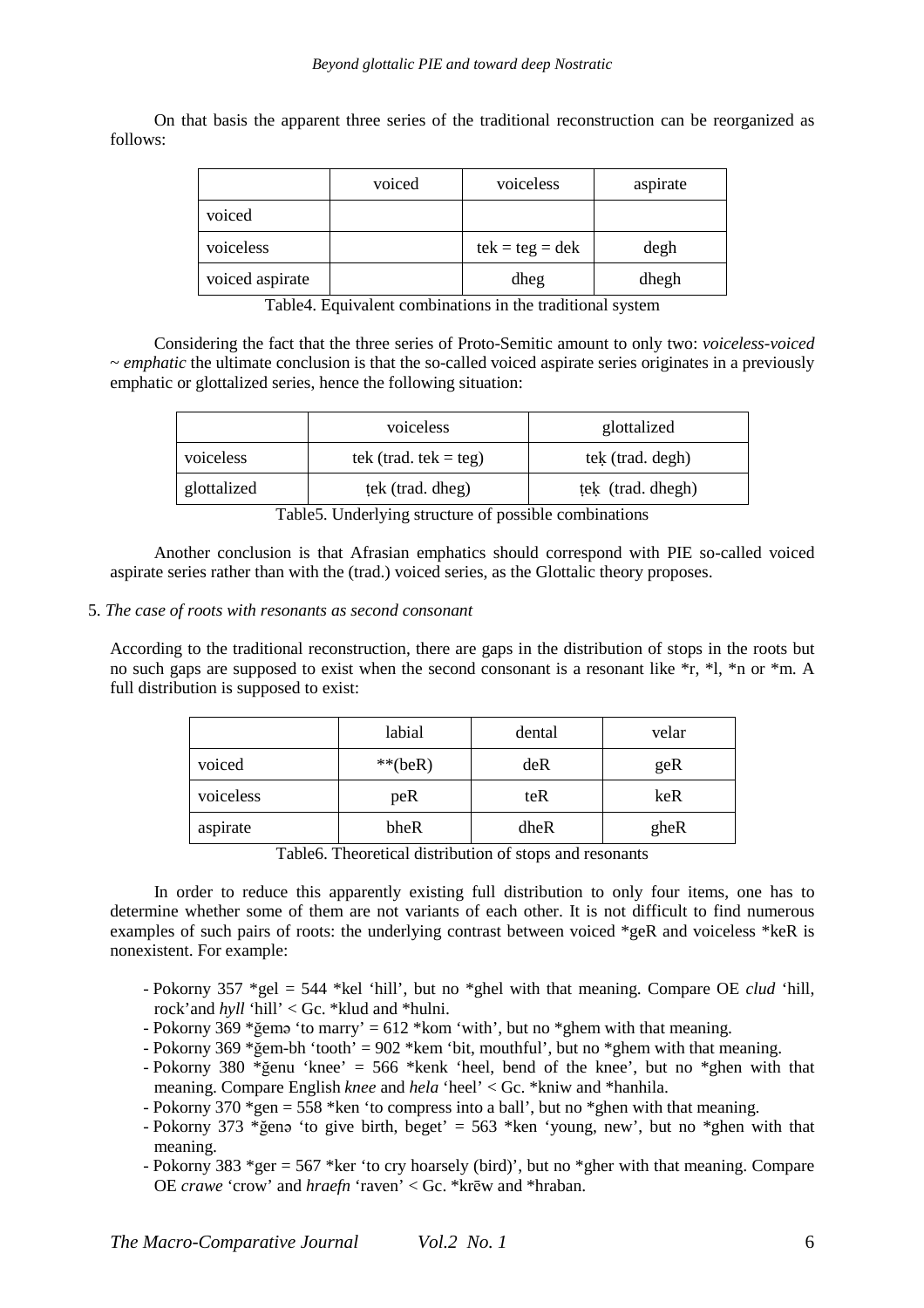On that basis the apparent three series of the traditional reconstruction can be reorganized as follows:

|                 | voiced | voiceless         | aspirate |
|-----------------|--------|-------------------|----------|
| voiced          |        |                   |          |
| voiceless       |        | $tek = teg = dek$ | degh     |
| voiced aspirate |        | dheg              | dhegh    |

Table4. Equivalent combinations in the traditional system

Considering the fact that the three series of Proto-Semitic amount to only two: *voiceless-voiced* ~ *emphatic* the ultimate conclusion is that the so-called voiced aspirate series originates in a previously emphatic or glottalized series, hence the following situation:

|             | voiceless               | glottalized       |
|-------------|-------------------------|-------------------|
| voiceless   | tek (trad. tek $=$ teg) | tek (trad. degh)  |
| glottalized | tek (trad. dheg)        | tek (trad. dhegh) |

Table5. Underlying structure of possible combinations

Another conclusion is that Afrasian emphatics should correspond with PIE so-called voiced aspirate series rather than with the (trad.) voiced series, as the Glottalic theory proposes.

### 5. *The case of roots with resonants as second consonant*

According to the traditional reconstruction, there are gaps in the distribution of stops in the roots but no such gaps are supposed to exist when the second consonant is a resonant like \*r, \*l, \*n or \*m. A full distribution is supposed to exist:

|           | labial    | dental | velar |
|-----------|-----------|--------|-------|
| voiced    | $**(beR)$ | deR    | geR   |
| voiceless | peR       | teR    | keR   |
| aspirate  | bheR      | dheR   | gheR  |

Table6. Theoretical distribution of stops and resonants

In order to reduce this apparently existing full distribution to only four items, one has to determine whether some of them are not variants of each other. It is not difficult to find numerous examples of such pairs of roots: the underlying contrast between voiced \*geR and voiceless \*keR is nonexistent. For example:

- Pokorny 357 \*gel = 544 \*kel 'hill', but no \*ghel with that meaning. Compare OE *clud* 'hill, rock'and *hyll* 'hill' < Gc. \*klud and \*hulni.
- Pokorny 369 \*ğemə 'to marry' = 612 \*kom 'with', but no \*ghem with that meaning.
- Pokorny 369 \* gem-bh 'tooth' = 902 \* kem 'bit, mouthful', but no \* ghem with that meaning.
- Pokorny 380 \*ğenu 'knee' = 566 \*kenk 'heel, bend of the knee', but no \*ghen with that meaning. Compare English *knee* and *hela* 'heel' < Gc. \*kniw and \*hanhila.
- Pokorny 370  $*_{gen} = 558$  \*ken 'to compress into a ball', but no  $*_{gen}$  with that meaning.
- Pokorny 373 \*ğenə 'to give birth, beget' = 563 \*ken 'young, new', but no \*ghen with that meaning.
- Pokorny 383 \*ger = 567 \*ker 'to cry hoarsely (bird)', but no \*gher with that meaning. Compare OE *crawe* 'crow' and *hraefn* 'raven' < Gc. \*krēw and \*hraban.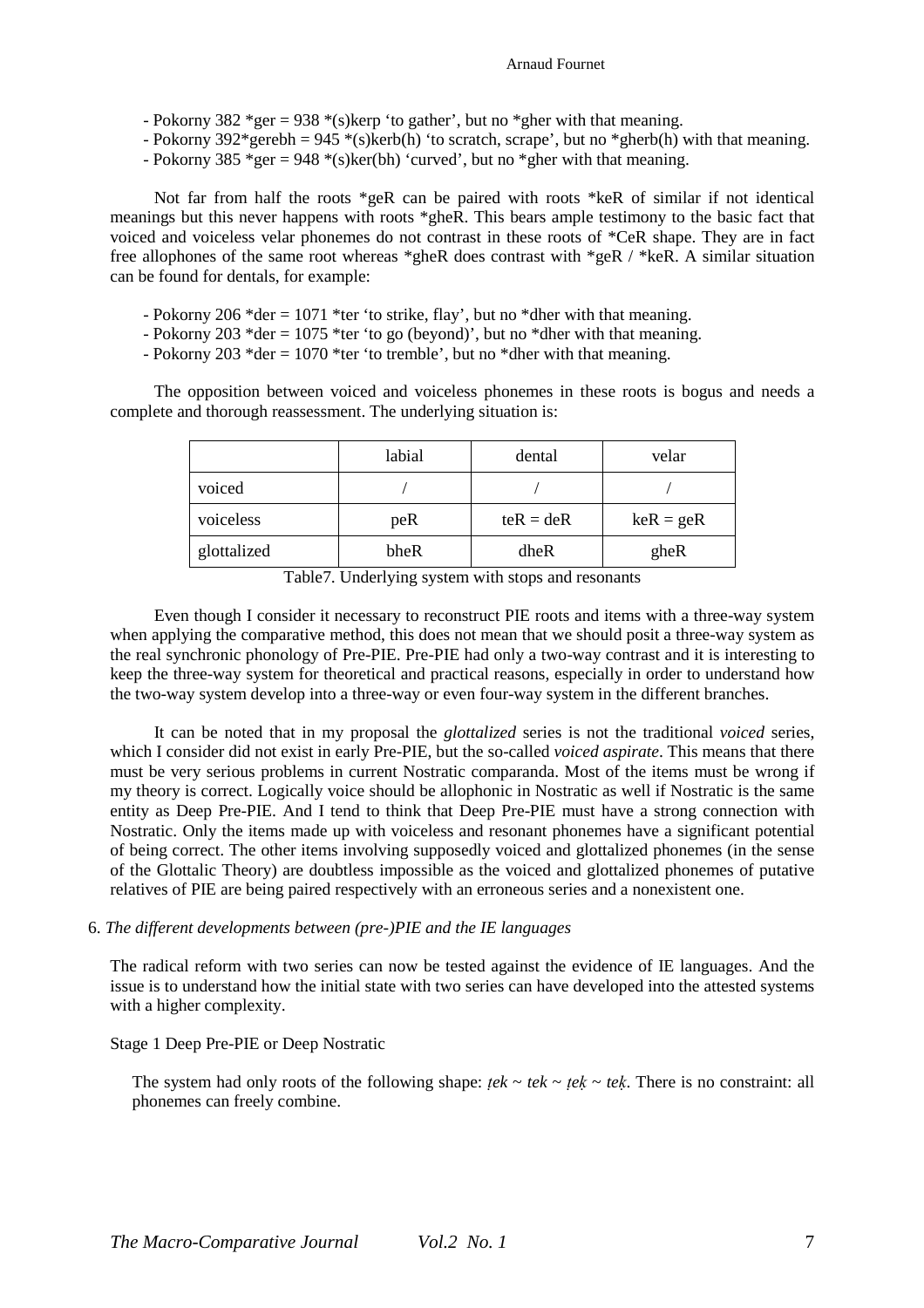- Pokorny 382 \*ger = 938 \*(s)kerp 'to gather', but no \*gher with that meaning.
- Pokorny 392\*gerebh = 945 \*(s)kerb(h) 'to scratch, scrape', but no \*gherb(h) with that meaning.
- Pokorny 385 \*ger = 948 \*(s)ker(bh) 'curved', but no \*gher with that meaning.

Not far from half the roots  $*_{geR}$  can be paired with roots  $*_{keR}$  of similar if not identical meanings but this never happens with roots \*gheR. This bears ample testimony to the basic fact that voiced and voiceless velar phonemes do not contrast in these roots of \*CeR shape. They are in fact free allophones of the same root whereas \*gheR does contrast with \*geR / \*keR. A similar situation can be found for dentals, for example:

- Pokorny 206 \*der = 1071 \*ter 'to strike, flay', but no \*dher with that meaning.
- Pokorny 203 \*der = 1075 \*ter 'to go (beyond)', but no \*dher with that meaning.
- Pokorny 203 \*der = 1070 \*ter 'to tremble', but no \*dher with that meaning.

The opposition between voiced and voiceless phonemes in these roots is bogus and needs a complete and thorough reassessment. The underlying situation is:

|             | labial | dental      | velar       |
|-------------|--------|-------------|-------------|
| voiced      |        |             |             |
| voiceless   | peR    | $teR = deR$ | $keR = geR$ |
| glottalized | bheR   | dheR        | gheR        |

Table7. Underlying system with stops and resonants

Even though I consider it necessary to reconstruct PIE roots and items with a three-way system when applying the comparative method, this does not mean that we should posit a three-way system as the real synchronic phonology of Pre-PIE. Pre-PIE had only a two-way contrast and it is interesting to keep the three-way system for theoretical and practical reasons, especially in order to understand how the two-way system develop into a three-way or even four-way system in the different branches.

It can be noted that in my proposal the *glottalized* series is not the traditional *voiced* series, which I consider did not exist in early Pre-PIE, but the so-called *voiced aspirate*. This means that there must be very serious problems in current Nostratic comparanda. Most of the items must be wrong if my theory is correct. Logically voice should be allophonic in Nostratic as well if Nostratic is the same entity as Deep Pre-PIE. And I tend to think that Deep Pre-PIE must have a strong connection with Nostratic. Only the items made up with voiceless and resonant phonemes have a significant potential of being correct. The other items involving supposedly voiced and glottalized phonemes (in the sense of the Glottalic Theory) are doubtless impossible as the voiced and glottalized phonemes of putative relatives of PIE are being paired respectively with an erroneous series and a nonexistent one.

### 6. *The different developments between (pre-)PIE and the IE languages*

The radical reform with two series can now be tested against the evidence of IE languages. And the issue is to understand how the initial state with two series can have developed into the attested systems with a higher complexity.

### Stage 1 Deep Pre-PIE or Deep Nostratic

The system had only roots of the following shape:  $tek \sim tek \sim tek \sim tek$ . There is no constraint: all phonemes can freely combine.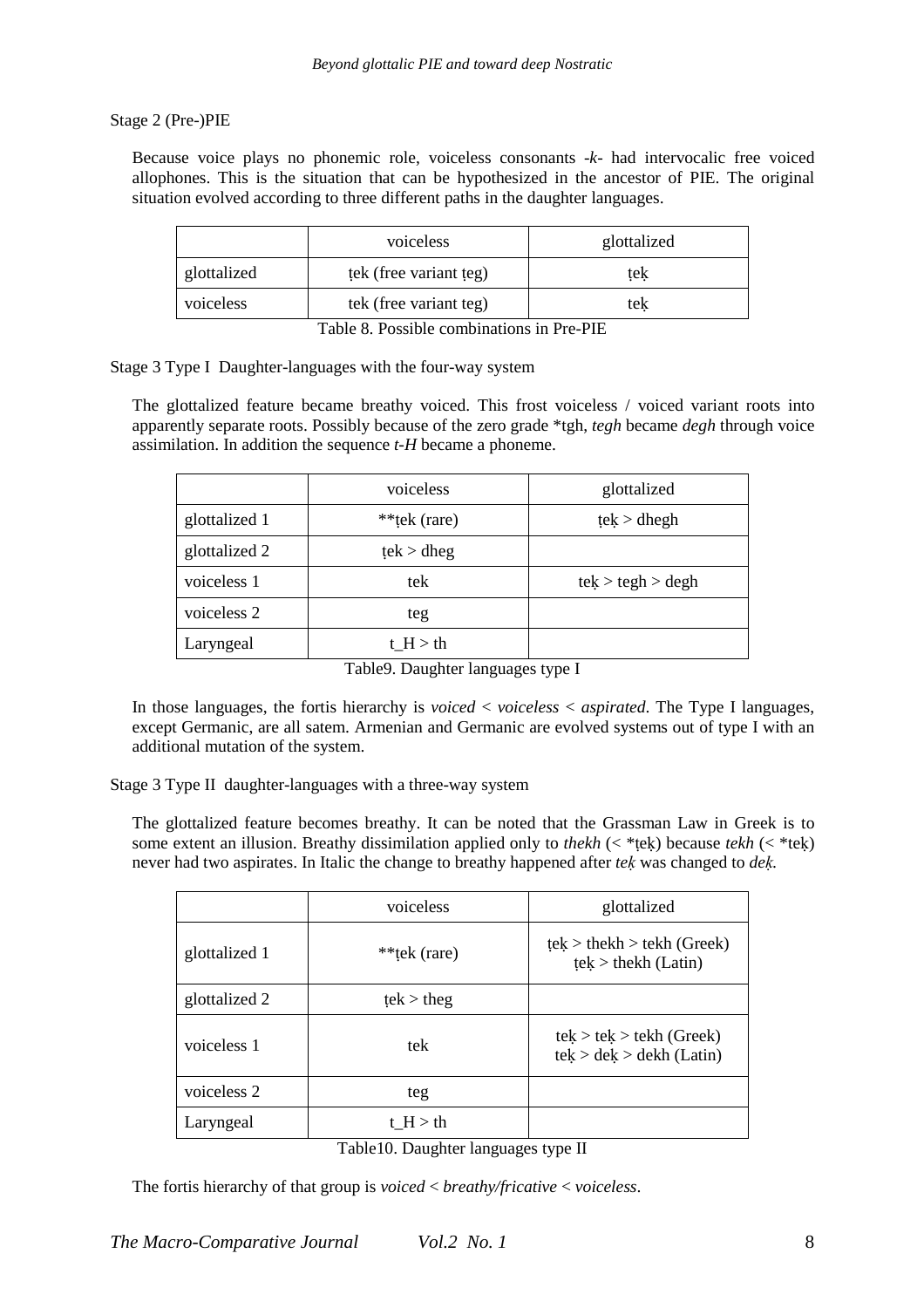# Stage 2 (Pre-)PIE

Because voice plays no phonemic role, voiceless consonants -*k*- had intervocalic free voiced allophones. This is the situation that can be hypothesized in the ancestor of PIE. The original situation evolved according to three different paths in the daughter languages.

|             | voiceless              | glottalized |
|-------------|------------------------|-------------|
| glottalized | tek (free variant teg) | tek         |
| voiceless   | tek (free variant teg) | tek         |

Table 8. Possible combinations in Pre-PIE

# Stage 3 Type I Daughter-languages with the four-way system

The glottalized feature became breathy voiced. This frost voiceless / voiced variant roots into apparently separate roots. Possibly because of the zero grade \*tgh, *tegh* became *degh* through voice assimilation. In addition the sequence *t-H* became a phoneme.

|               | voiceless    | glottalized       |
|---------------|--------------|-------------------|
| glottalized 1 | **tek (rare) | tek > dhegh       |
| glottalized 2 | tek > dheg   |                   |
| voiceless 1   | tek          | tek > tegh > degh |
| voiceless 2   | teg          |                   |
| Laryngeal     | t $H > th$   |                   |

Table9. Daughter languages type I

In those languages, the fortis hierarchy is *voiced* < *voiceless* < *aspirated*. The Type I languages, except Germanic, are all satem. Armenian and Germanic are evolved systems out of type I with an additional mutation of the system.

Stage 3 Type II daughter-languages with a three-way system

The glottalized feature becomes breathy. It can be noted that the Grassman Law in Greek is to some extent an illusion. Breathy dissimilation applied only to *thekh* (< \*ṭeḳ) because *tekh* (< \*teḳ) never had two aspirates. In Italic the change to breathy happened after *teḳ* was changed to *deḳ.* 

|               | voiceless    | glottalized                                             |
|---------------|--------------|---------------------------------------------------------|
| glottalized 1 | **tek (rare) | $tek$ > the kh > tekh (Greek)<br>$tek$ > the kh (Latin) |
| glottalized 2 | tek > theg   |                                                         |
| voiceless 1   | tek          | $tek > tek > tekh$ (Greek)<br>tek > dek > dekh (Latin)  |
| voiceless 2   | teg          |                                                         |
| Laryngeal     | $t$ H $>$ th |                                                         |

|  | Table10. Daughter languages type II |  |  |
|--|-------------------------------------|--|--|
|--|-------------------------------------|--|--|

The fortis hierarchy of that group is *voiced* < *breathy/fricative* < *voiceless*.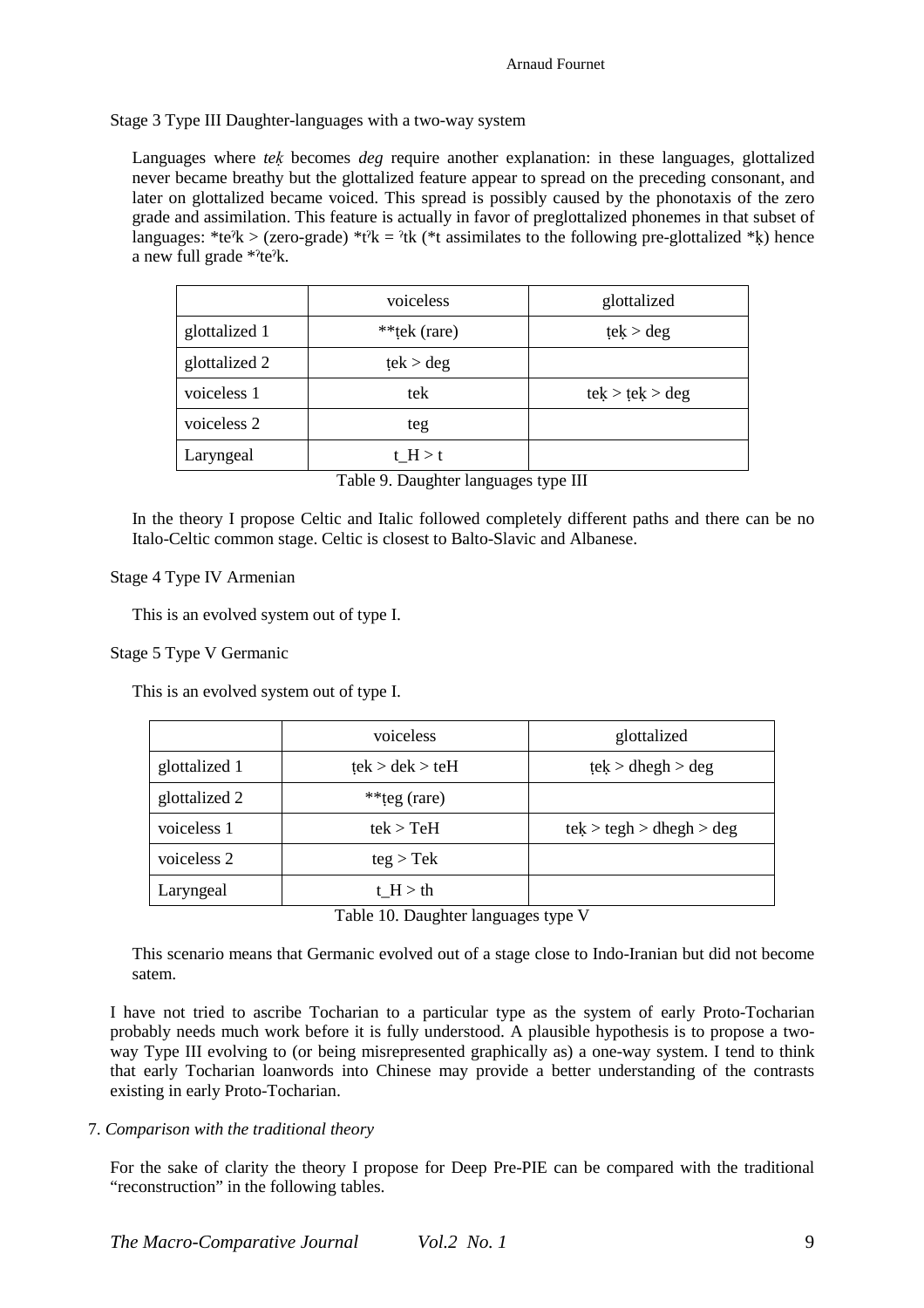Stage 3 Type III Daughter-languages with a two-way system

Languages where *teḳ* becomes *deg* require another explanation: in these languages, glottalized never became breathy but the glottalized feature appear to spread on the preceding consonant, and later on glottalized became voiced. This spread is possibly caused by the phonotaxis of the zero grade and assimilation. This feature is actually in favor of preglottalized phonemes in that subset of languages: \*te<sup>?</sup>k > (zero-grade) \*t<sup>?</sup>k = <sup>2</sup>tk (\*t assimilates to the following pre-glottalized \*k) hence a new full grade \*ˀteˀk.

|               | voiceless    | glottalized     |
|---------------|--------------|-----------------|
| glottalized 1 | **tek (rare) | tek > deg       |
| glottalized 2 | tek > deg    |                 |
| voiceless 1   | tek          | tek > tek > deg |
| voiceless 2   | teg          |                 |
| Laryngeal     | t $H > t$    |                 |

Table 9. Daughter languages type III

In the theory I propose Celtic and Italic followed completely different paths and there can be no Italo-Celtic common stage. Celtic is closest to Balto-Slavic and Albanese.

# Stage 4 Type IV Armenian

This is an evolved system out of type I.

## Stage 5 Type V Germanic

This is an evolved system out of type I.

|               | voiceless       | glottalized              |  |
|---------------|-----------------|--------------------------|--|
| glottalized 1 | tek > dek > teH | tek > dhegh > deg        |  |
| glottalized 2 | **teg (rare)    |                          |  |
| voiceless 1   | $tek$ > $TeH$   | tek > tegh > dhegh > deg |  |
| voiceless 2   | teg > Tek       |                          |  |
| Laryngeal     | t $H > th$      |                          |  |

Table 10. Daughter languages type V

This scenario means that Germanic evolved out of a stage close to Indo-Iranian but did not become satem.

I have not tried to ascribe Tocharian to a particular type as the system of early Proto-Tocharian probably needs much work before it is fully understood. A plausible hypothesis is to propose a twoway Type III evolving to (or being misrepresented graphically as) a one-way system. I tend to think that early Tocharian loanwords into Chinese may provide a better understanding of the contrasts existing in early Proto-Tocharian.

# 7. *Comparison with the traditional theory*

For the sake of clarity the theory I propose for Deep Pre-PIE can be compared with the traditional "reconstruction" in the following tables.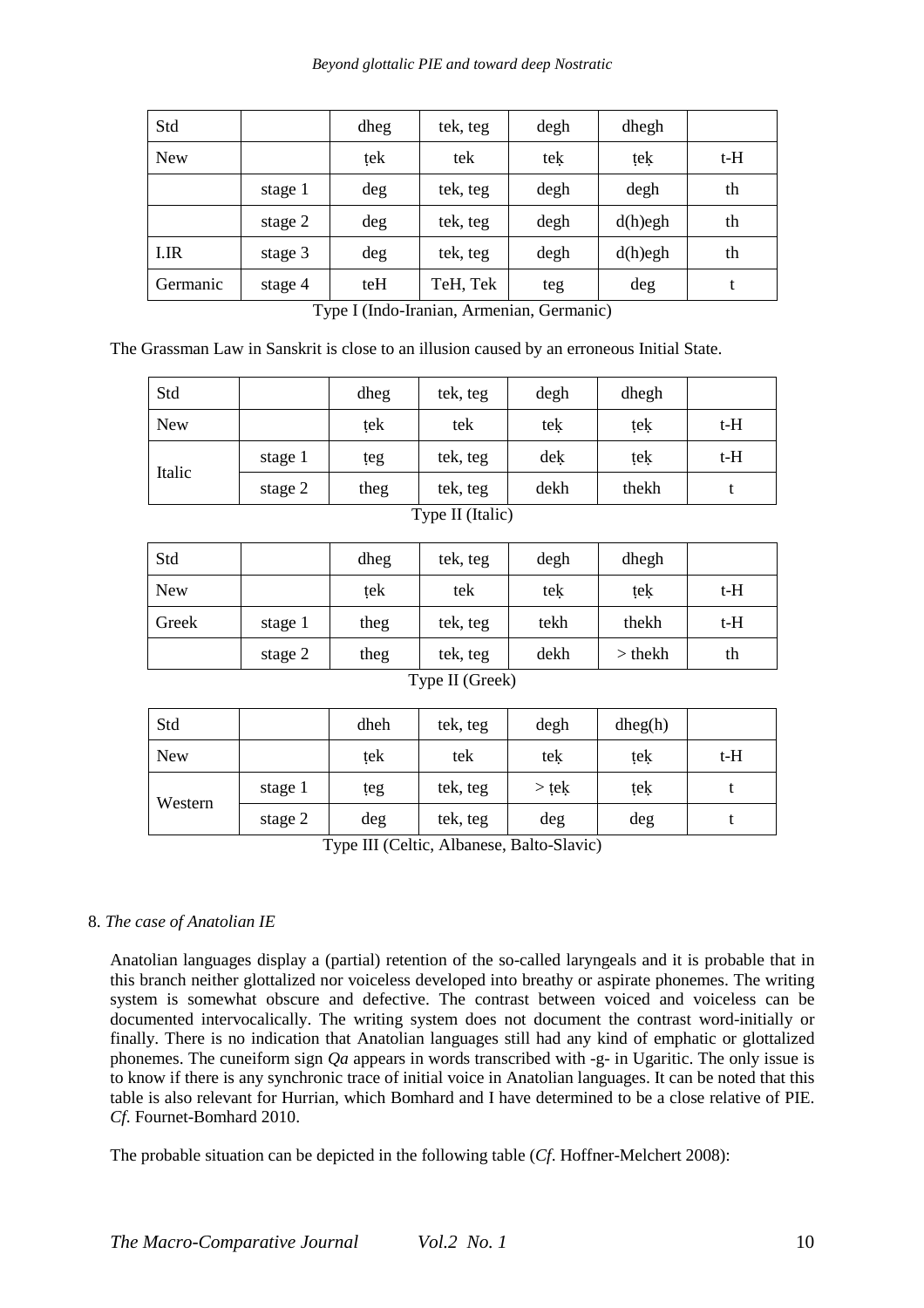## *Beyond glottalic PIE and toward deep Nostratic*

| Std        |         | dheg | tek, teg | degh | dhegh      |       |
|------------|---------|------|----------|------|------------|-------|
| <b>New</b> |         | tek  | tek      | tek  | tek        | $t-H$ |
|            | stage 1 | deg  | tek, teg | degh | degh       | th    |
|            | stage 2 | deg  | tek, teg | degh | $d(h)$ egh | th    |
| I.IR       | stage 3 | deg  | tek, teg | degh | $d(h)$ egh | th    |
| Germanic   | stage 4 | teH  | TeH, Tek | teg  | deg        | t     |

Type I (Indo-Iranian, Armenian, Germanic)

The Grassman Law in Sanskrit is close to an illusion caused by an erroneous Initial State.

| Std              |         | dheg | tek, teg | degh | dhegh |     |
|------------------|---------|------|----------|------|-------|-----|
| <b>New</b>       |         | tek  | tek      | tek  | tek   | t-H |
|                  | stage 1 | teg  | tek, teg | dek  | tek   | t-H |
| Italic           | stage 2 | theg | tek, teg | dekh | thekh |     |
| Type II (Italic) |         |      |          |      |       |     |

| $t-H$ |
|-------|
| t-H   |
| th    |
|       |

# Type II (Greek)

| Std        |         | dheh | tek, teg | degh    | dheg(h) |     |
|------------|---------|------|----------|---------|---------|-----|
| <b>New</b> |         | tek  | tek      | tek     | tek     | t-H |
| Western    | stage 1 | teg  | tek, teg | $>$ tek | tek     |     |
|            | stage 2 | deg  | tek, teg | deg     | deg     |     |

Type III (Celtic, Albanese, Balto-Slavic)

# 8. *The case of Anatolian IE*

Anatolian languages display a (partial) retention of the so-called laryngeals and it is probable that in this branch neither glottalized nor voiceless developed into breathy or aspirate phonemes. The writing system is somewhat obscure and defective. The contrast between voiced and voiceless can be documented intervocalically. The writing system does not document the contrast word-initially or finally. There is no indication that Anatolian languages still had any kind of emphatic or glottalized phonemes. The cuneiform sign *Qa* appears in words transcribed with -g- in Ugaritic. The only issue is to know if there is any synchronic trace of initial voice in Anatolian languages. It can be noted that this table is also relevant for Hurrian, which Bomhard and I have determined to be a close relative of PIE. *Cf*. Fournet-Bomhard 2010.

The probable situation can be depicted in the following table (*Cf*. Hoffner-Melchert 2008):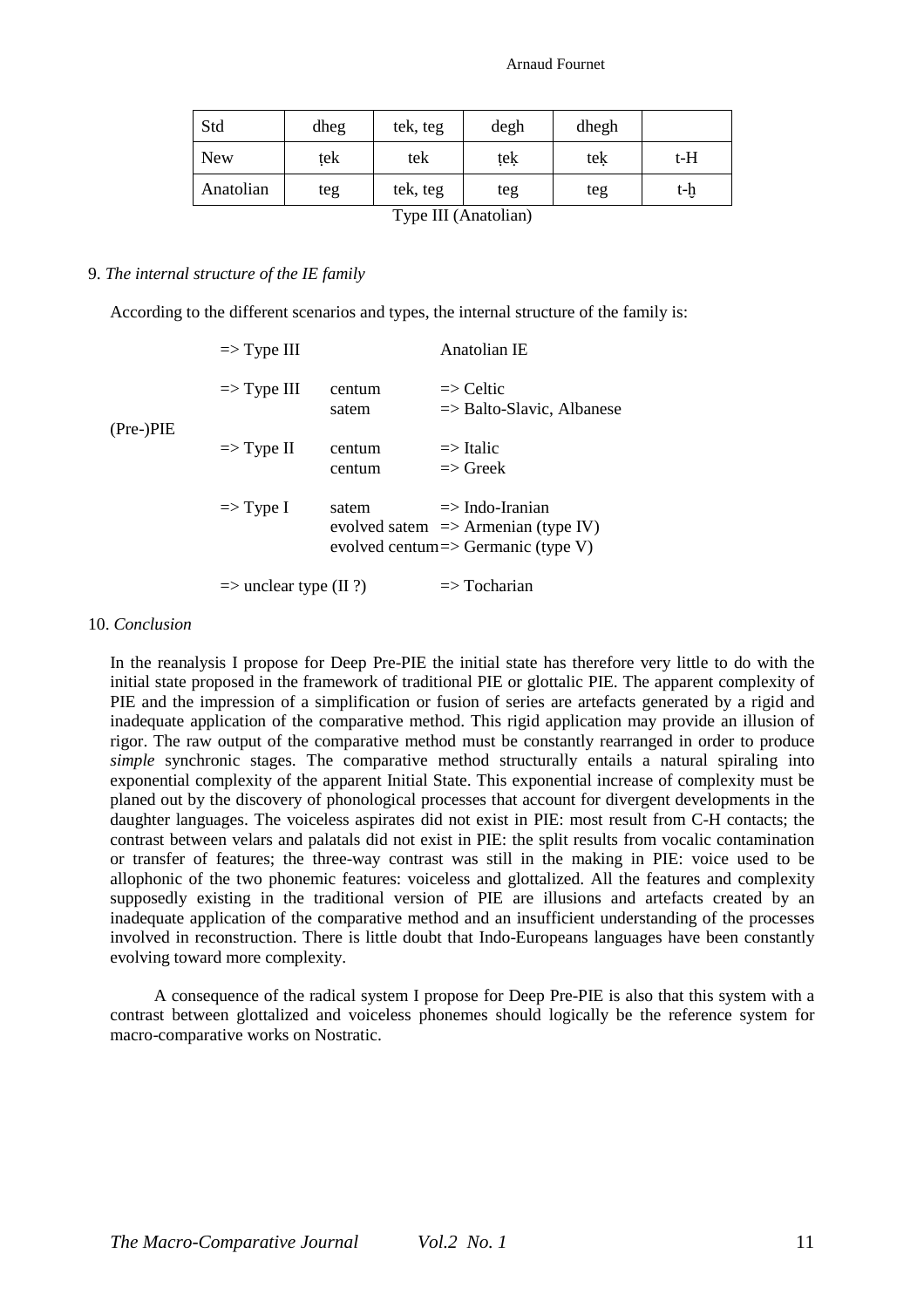| Std                  | dheg | tek, teg | degh | dhegh |     |
|----------------------|------|----------|------|-------|-----|
| <b>New</b>           | tek  | tek      | tek  | tek   | t-H |
| Anatolian            | teg  | tek, teg | teg  | teg   | t-h |
| Type III (Anatolian) |      |          |      |       |     |

### 9. *The internal structure of the IE family*

According to the different scenarios and types, the internal structure of the family is:

|             | $\Rightarrow$ Type III            |                  | Anatolian IE                                                                                                       |
|-------------|-----------------------------------|------------------|--------------------------------------------------------------------------------------------------------------------|
| $(Pre-)PIE$ | $\Rightarrow$ Type III            | centum<br>satem  | $\Rightarrow$ Celtic<br>$\Rightarrow$ Balto-Slavic, Albanese                                                       |
|             | $\Rightarrow$ Type II             | centum<br>centum | $\Rightarrow$ Italic<br>$\Rightarrow$ Greek                                                                        |
|             | $\Rightarrow$ Type I              | satem            | $\Rightarrow$ Indo-Iranian<br>evolved satem $\Rightarrow$ Armenian (type IV)<br>evolved centum=> Germanic (type V) |
|             | $\Rightarrow$ unclear type (II ?) |                  | $\Rightarrow$ Tocharian                                                                                            |

### 10. *Conclusion*

In the reanalysis I propose for Deep Pre-PIE the initial state has therefore very little to do with the initial state proposed in the framework of traditional PIE or glottalic PIE. The apparent complexity of PIE and the impression of a simplification or fusion of series are artefacts generated by a rigid and inadequate application of the comparative method. This rigid application may provide an illusion of rigor. The raw output of the comparative method must be constantly rearranged in order to produce *simple* synchronic stages. The comparative method structurally entails a natural spiraling into exponential complexity of the apparent Initial State. This exponential increase of complexity must be planed out by the discovery of phonological processes that account for divergent developments in the daughter languages. The voiceless aspirates did not exist in PIE: most result from C-H contacts; the contrast between velars and palatals did not exist in PIE: the split results from vocalic contamination or transfer of features; the three-way contrast was still in the making in PIE: voice used to be allophonic of the two phonemic features: voiceless and glottalized. All the features and complexity supposedly existing in the traditional version of PIE are illusions and artefacts created by an inadequate application of the comparative method and an insufficient understanding of the processes involved in reconstruction. There is little doubt that Indo-Europeans languages have been constantly evolving toward more complexity.

A consequence of the radical system I propose for Deep Pre-PIE is also that this system with a contrast between glottalized and voiceless phonemes should logically be the reference system for macro-comparative works on Nostratic.